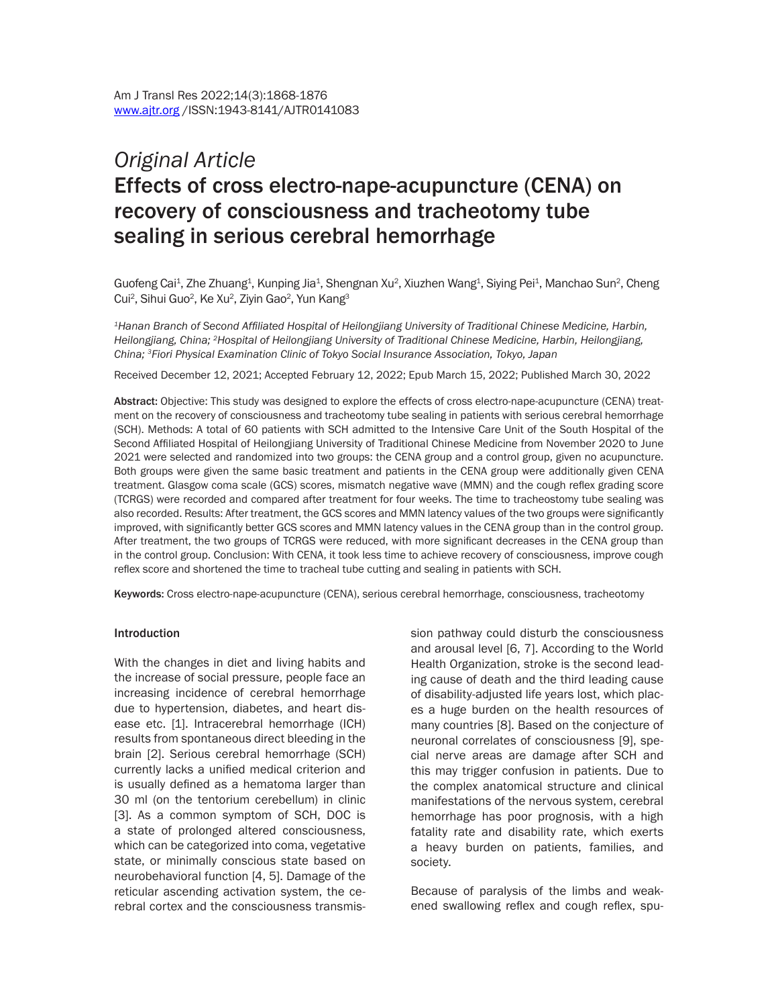# *Original Article* Effects of cross electro-nape-acupuncture (CENA) on recovery of consciousness and tracheotomy tube sealing in serious cerebral hemorrhage

Guofeng Cai<sup>1</sup>, Zhe Zhuang<sup>1</sup>, Kunping Jia<sup>1</sup>, Shengnan Xu<sup>2</sup>, Xiuzhen Wang<sup>1</sup>, Siying Pei<sup>1</sup>, Manchao Sun<sup>2</sup>, Cheng Cui<sup>2</sup>, Sihui Guo<sup>2</sup>, Ke Xu<sup>2</sup>, Ziyin Gao<sup>2</sup>, Yun Kang<sup>3</sup>

*<sup>1</sup>Hanan Branch of Second Affiliated Hospital of Heilongjiang University of Traditional Chinese Medicine, Harbin, Heilongjiang, China; <sup>2</sup>Hospital of Heilongjiang University of Traditional Chinese Medicine, Harbin, Heilongjiang, China; <sup>3</sup>Fiori Physical Examination Clinic of Tokyo Social Insurance Association, Tokyo, Japan*

Received December 12, 2021; Accepted February 12, 2022; Epub March 15, 2022; Published March 30, 2022

Abstract: Objective: This study was designed to explore the effects of cross electro-nape-acupuncture (CENA) treatment on the recovery of consciousness and tracheotomy tube sealing in patients with serious cerebral hemorrhage (SCH). Methods: A total of 60 patients with SCH admitted to the Intensive Care Unit of the South Hospital of the Second Affiliated Hospital of Heilongjiang University of Traditional Chinese Medicine from November 2020 to June 2021 were selected and randomized into two groups: the CENA group and a control group, given no acupuncture. Both groups were given the same basic treatment and patients in the CENA group were additionally given CENA treatment. Glasgow coma scale (GCS) scores, mismatch negative wave (MMN) and the cough reflex grading score (TCRGS) were recorded and compared after treatment for four weeks. The time to tracheostomy tube sealing was also recorded. Results: After treatment, the GCS scores and MMN latency values of the two groups were significantly improved, with significantly better GCS scores and MMN latency values in the CENA group than in the control group. After treatment, the two groups of TCRGS were reduced, with more significant decreases in the CENA group than in the control group. Conclusion: With CENA, it took less time to achieve recovery of consciousness, improve cough reflex score and shortened the time to tracheal tube cutting and sealing in patients with SCH.

Keywords: Cross electro-nape-acupuncture (CENA), serious cerebral hemorrhage, consciousness, tracheotomy

#### **Introduction**

With the changes in diet and living habits and the increase of social pressure, people face an increasing incidence of cerebral hemorrhage due to hypertension, diabetes, and heart disease etc. [1]. Intracerebral hemorrhage (ICH) results from spontaneous direct bleeding in the brain [2]. Serious cerebral hemorrhage (SCH) currently lacks a unified medical criterion and is usually defined as a hematoma larger than 30 ml (on the tentorium cerebellum) in clinic [3]. As a common symptom of SCH, DOC is a state of prolonged altered consciousness, which can be categorized into coma, vegetative state, or minimally conscious state based on neurobehavioral function [4, 5]. Damage of the reticular ascending activation system, the cerebral cortex and the consciousness transmis-

sion pathway could disturb the consciousness and arousal level [6, 7]. According to the World Health Organization, stroke is the second leading cause of death and the third leading cause of disability-adjusted life years lost, which places a huge burden on the health resources of many countries [8]. Based on the conjecture of neuronal correlates of consciousness [9], special nerve areas are damage after SCH and this may trigger confusion in patients. Due to the complex anatomical structure and clinical manifestations of the nervous system, cerebral hemorrhage has poor prognosis, with a high fatality rate and disability rate, which exerts a heavy burden on patients, families, and society.

Because of paralysis of the limbs and weakened swallowing reflex and cough reflex, spu-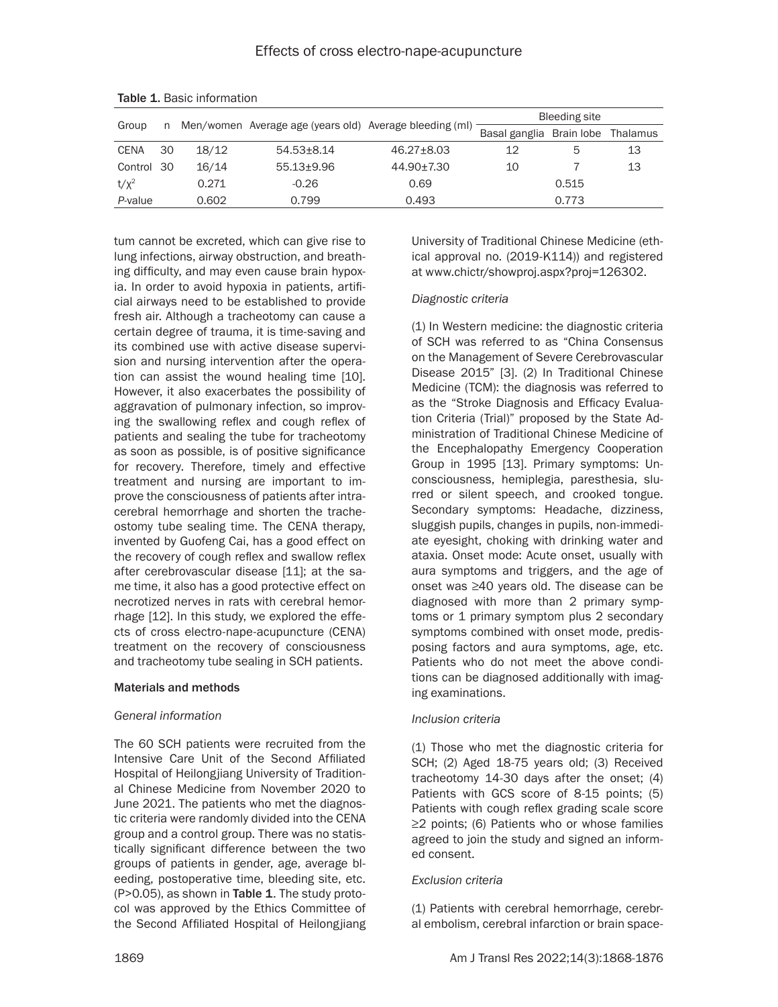| Group       |      |       | Men/women Average age (years old) Average bleeding (ml) |                  | Bleeding site                     |       |    |
|-------------|------|-------|---------------------------------------------------------|------------------|-----------------------------------|-------|----|
|             |      |       |                                                         |                  | Basal ganglia Brain lobe Thalamus |       |    |
| <b>CENA</b> | 30   | 18/12 | $54.53 \pm 8.14$                                        | $46.27 \pm 8.03$ | 12                                | 5     | 13 |
| Control     | - 30 | 16/14 | $55.13 + 9.96$                                          | 44.90+7.30       | 10                                |       | 13 |
| $t/x^2$     |      | 0.271 | $-0.26$                                                 | 0.69             |                                   | 0.515 |    |
| P-value     |      | 0.602 | 0.799                                                   | 0.493            |                                   | 0.773 |    |

Table 1. Basic information

tum cannot be excreted, which can give rise to lung infections, airway obstruction, and breathing difficulty, and may even cause brain hypoxia. In order to avoid hypoxia in patients, artificial airways need to be established to provide fresh air. Although a tracheotomy can cause a certain degree of trauma, it is time-saving and its combined use with active disease supervision and nursing intervention after the operation can assist the wound healing time [10]. However, it also exacerbates the possibility of aggravation of pulmonary infection, so improving the swallowing reflex and cough reflex of patients and sealing the tube for tracheotomy as soon as possible, is of positive significance for recovery. Therefore, timely and effective treatment and nursing are important to improve the consciousness of patients after intracerebral hemorrhage and shorten the tracheostomy tube sealing time. The CENA therapy, invented by Guofeng Cai, has a good effect on the recovery of cough reflex and swallow reflex after cerebrovascular disease [11]; at the same time, it also has a good protective effect on necrotized nerves in rats with cerebral hemorrhage [12]. In this study, we explored the effects of cross electro-nape-acupuncture (CENA) treatment on the recovery of consciousness and tracheotomy tube sealing in SCH patients.

#### Materials and methods

#### *General information*

The 60 SCH patients were recruited from the Intensive Care Unit of the Second Affiliated Hospital of Heilongjiang University of Traditional Chinese Medicine from November 2020 to June 2021. The patients who met the diagnostic criteria were randomly divided into the CENA group and a control group. There was no statistically significant difference between the two groups of patients in gender, age, average bleeding, postoperative time, bleeding site, etc. (P>0.05), as shown in Table 1. The study protocol was approved by the Ethics Committee of the Second Affiliated Hospital of Heilongjiang

University of Traditional Chinese Medicine (ethical approval no. (2019-K114)) and registered at www.chictr/showproj.aspx?proj=126302.

#### *Diagnostic criteria*

(1) In Western medicine: the diagnostic criteria of SCH was referred to as "China Consensus on the Management of Severe Cerebrovascular Disease 2015" [3]. (2) In Traditional Chinese Medicine (TCM): the diagnosis was referred to as the "Stroke Diagnosis and Efficacy Evaluation Criteria (Trial)" proposed by the State Administration of Traditional Chinese Medicine of the Encephalopathy Emergency Cooperation Group in 1995 [13]. Primary symptoms: Unconsciousness, hemiplegia, paresthesia, slurred or silent speech, and crooked tongue. Secondary symptoms: Headache, dizziness, sluggish pupils, changes in pupils, non-immediate eyesight, choking with drinking water and ataxia. Onset mode: Acute onset, usually with aura symptoms and triggers, and the age of onset was ≥40 years old. The disease can be diagnosed with more than 2 primary symptoms or 1 primary symptom plus 2 secondary symptoms combined with onset mode, predisposing factors and aura symptoms, age, etc. Patients who do not meet the above conditions can be diagnosed additionally with imaging examinations.

#### *Inclusion criteria*

(1) Those who met the diagnostic criteria for SCH; (2) Aged 18-75 years old; (3) Received tracheotomy 14-30 days after the onset; (4) Patients with GCS score of 8-15 points; (5) Patients with cough reflex grading scale score ≥2 points; (6) Patients who or whose families agreed to join the study and signed an informed consent.

## *Exclusion criteria*

(1) Patients with cerebral hemorrhage, cerebral embolism, cerebral infarction or brain space-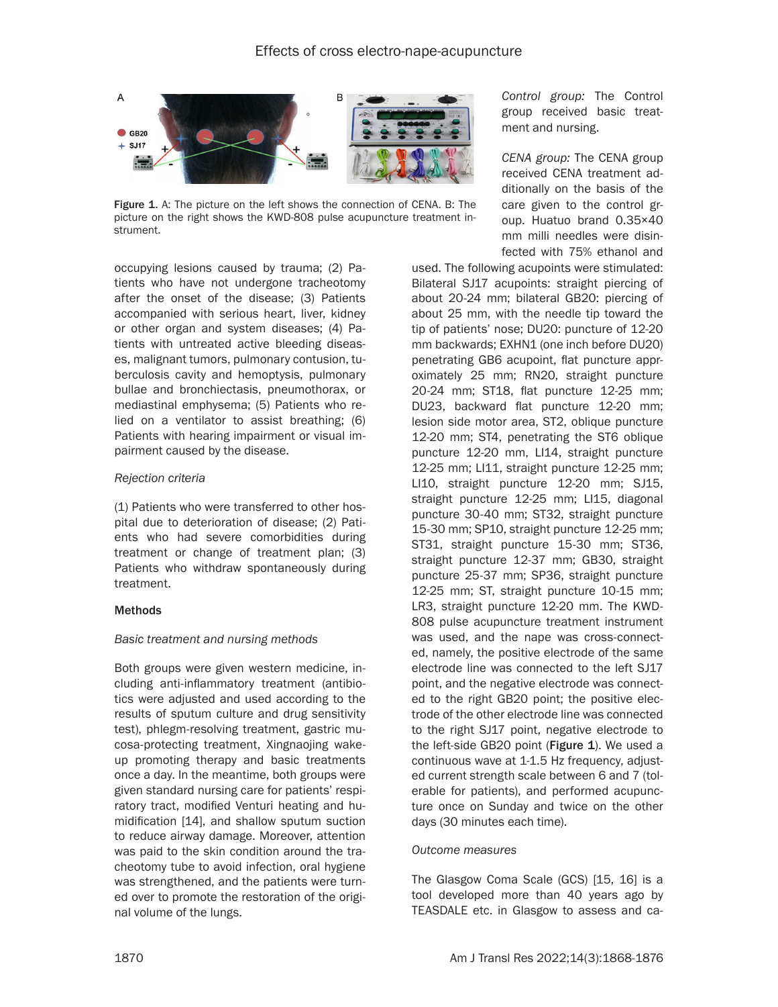

Figure 1. A: The picture on the left shows the connection of CENA. B: The picture on the right shows the KWD-808 pulse acupuncture treatment instrument.

occupying lesions caused by trauma; (2) Patients who have not undergone tracheotomy after the onset of the disease; (3) Patients accompanied with serious heart, liver, kidney or other organ and system diseases; (4) Patients with untreated active bleeding diseases, malignant tumors, pulmonary contusion, tuberculosis cavity and hemoptysis, pulmonary bullae and bronchiectasis, pneumothorax, or mediastinal emphysema; (5) Patients who relied on a ventilator to assist breathing; (6) Patients with hearing impairment or visual impairment caused by the disease.

#### *Rejection criteria*

(1) Patients who were transferred to other hospital due to deterioration of disease; (2) Patients who had severe comorbidities during treatment or change of treatment plan; (3) Patients who withdraw spontaneously during treatment.

#### Methods

#### *Basic treatment and nursing methods*

Both groups were given western medicine, including anti-inflammatory treatment (antibiotics were adjusted and used according to the results of sputum culture and drug sensitivity test), phlegm-resolving treatment, gastric mucosa-protecting treatment, Xingnaojing wakeup promoting therapy and basic treatments once a day. In the meantime, both groups were given standard nursing care for patients' respiratory tract, modified Venturi heating and humidification [14], and shallow sputum suction to reduce airway damage. Moreover, attention was paid to the skin condition around the tracheotomy tube to avoid infection, oral hygiene was strengthened, and the patients were turned over to promote the restoration of the original volume of the lungs.

*Control group:* The Control group received basic treatment and nursing.

*CENA group:* The CENA group received CENA treatment additionally on the basis of the care given to the control group. Huatuo brand 0.35×40 mm milli needles were disinfected with 75% ethanol and

used. The following acupoints were stimulated: Bilateral SJ17 acupoints: straight piercing of about 20-24 mm; bilateral GB20: piercing of about 25 mm, with the needle tip toward the tip of patients' nose; DU20: puncture of 12-20 mm backwards; EXHN1 (one inch before DU20) penetrating GB6 acupoint, flat puncture approximately 25 mm; RN20, straight puncture 20-24 mm; ST18, flat puncture 12-25 mm; DU23, backward flat puncture 12-20 mm; lesion side motor area, ST2, oblique puncture 12-20 mm; ST4, penetrating the ST6 oblique puncture 12-20 mm, LI14, straight puncture 12-25 mm; LI11, straight puncture 12-25 mm; LI10, straight puncture 12-20 mm; SJ15, straight puncture 12-25 mm; LI15, diagonal puncture 30-40 mm; ST32, straight puncture 15-30 mm; SP10, straight puncture 12-25 mm; ST31, straight puncture 15-30 mm; ST36, straight puncture 12-37 mm; GB30, straight puncture 25-37 mm; SP36, straight puncture 12-25 mm; ST, straight puncture 10-15 mm; LR3, straight puncture 12-20 mm. The KWD-808 pulse acupuncture treatment instrument was used, and the nape was cross-connected, namely, the positive electrode of the same electrode line was connected to the left SJ17 point, and the negative electrode was connected to the right GB20 point; the positive electrode of the other electrode line was connected to the right SJ17 point, negative electrode to the left-side GB20 point (Figure  $1$ ). We used a continuous wave at 1-1.5 Hz frequency, adjusted current strength scale between 6 and 7 (tolerable for patients), and performed acupuncture once on Sunday and twice on the other days (30 minutes each time).

#### *Outcome measures*

The Glasgow Coma Scale (GCS) [15, 16] is a tool developed more than 40 years ago by TEASDALE etc. in Glasgow to assess and ca-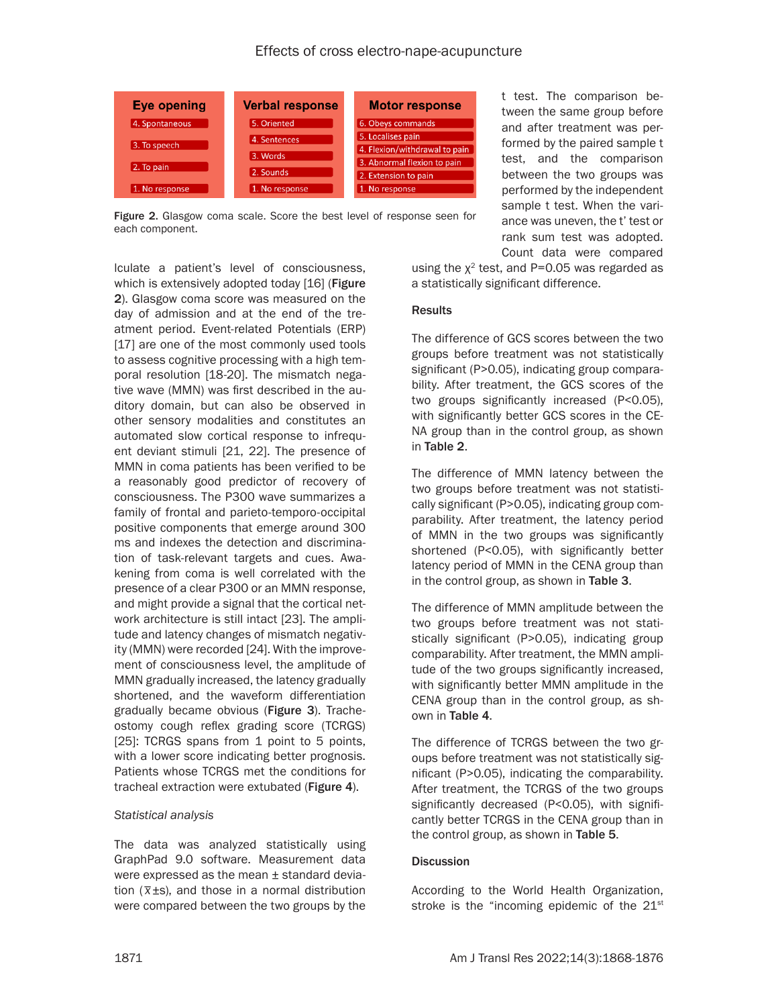

Figure 2. Glasgow coma scale. Score the best level of response seen for each component.

t test. The comparison between the same group before and after treatment was performed by the paired sample t test, and the comparison between the two groups was performed by the independent sample t test. When the variance was uneven, the t' test or rank sum test was adopted. Count data were compared

lculate a patient's level of consciousness, which is extensively adopted today [16] (Figure 2). Glasgow coma score was measured on the day of admission and at the end of the treatment period. Event-related Potentials (ERP) [17] are one of the most commonly used tools to assess cognitive processing with a high temporal resolution [18-20]. The mismatch negative wave (MMN) was first described in the auditory domain, but can also be observed in other sensory modalities and constitutes an automated slow cortical response to infrequent deviant stimuli [21, 22]. The presence of MMN in coma patients has been verified to be a reasonably good predictor of recovery of consciousness. The P300 wave summarizes a family of frontal and parieto-temporo-occipital positive components that emerge around 300 ms and indexes the detection and discrimination of task-relevant targets and cues. Awakening from coma is well correlated with the presence of a clear P300 or an MMN response, and might provide a signal that the cortical network architecture is still intact [23]. The amplitude and latency changes of mismatch negativity (MMN) were recorded [24]. With the improvement of consciousness level, the amplitude of MMN gradually increased, the latency gradually shortened, and the waveform differentiation gradually became obvious (Figure 3). Tracheostomy cough reflex grading score (TCRGS) [25]: TCRGS spans from 1 point to 5 points, with a lower score indicating better prognosis. Patients whose TCRGS met the conditions for tracheal extraction were extubated (Figure 4).

## *Statistical analysis*

The data was analyzed statistically using GraphPad 9.0 software. Measurement data were expressed as the mean ± standard deviation ( $\bar{x}$ ±s), and those in a normal distribution were compared between the two groups by the

using the  $x^2$  test, and P=0.05 was regarded as a statistically significant difference.

#### **Results**

The difference of GCS scores between the two groups before treatment was not statistically significant (P>0.05), indicating group comparability. After treatment, the GCS scores of the two groups significantly increased (P<0.05), with significantly better GCS scores in the CE-NA group than in the control group, as shown in Table 2.

The difference of MMN latency between the two groups before treatment was not statistically significant (P>0.05), indicating group comparability. After treatment, the latency period of MMN in the two groups was significantly shortened (P<0.05), with significantly better latency period of MMN in the CENA group than in the control group, as shown in Table 3.

The difference of MMN amplitude between the two groups before treatment was not statistically significant (P>0.05), indicating group comparability. After treatment, the MMN amplitude of the two groups significantly increased, with significantly better MMN amplitude in the CENA group than in the control group, as shown in Table 4.

The difference of TCRGS between the two groups before treatment was not statistically significant (P>0.05), indicating the comparability. After treatment, the TCRGS of the two groups significantly decreased (P<0.05), with significantly better TCRGS in the CENA group than in the control group, as shown in Table 5.

#### **Discussion**

According to the World Health Organization, stroke is the "incoming epidemic of the 21<sup>st</sup>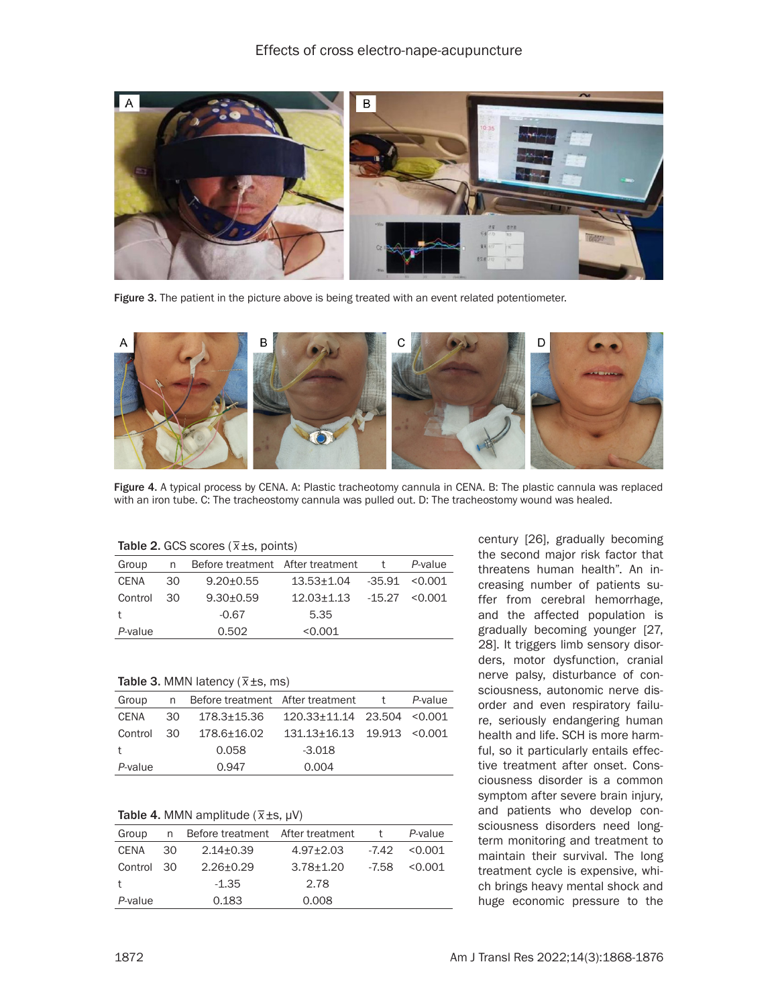

Figure 3. The patient in the picture above is being treated with an event related potentiometer.



Figure 4. A typical process by CENA. A: Plastic tracheotomy cannula in CENA. B: The plastic cannula was replaced with an iron tube. C: The tracheostomy cannula was pulled out. D: The tracheostomy wound was healed.

# Table 2. GCS scores ( *\_ x*±s, points)

| Group       | n    | Before treatment After treatment |                                   | P-value |
|-------------|------|----------------------------------|-----------------------------------|---------|
| <b>CENA</b> | .30  | $9.20 + 0.55$                    | $13.53 \pm 1.04$ $-35.91$ < 0.001 |         |
| Control     | - 30 | $9.30 + 0.59$                    | $12.03 + 1.13 - 15.27 < 0.001$    |         |
|             |      | $-0.67$                          | 5.35                              |         |
| P-value     |      | 0.502                            | < 0.001                           |         |

Table 3. MMN latency (*\_ x*±s, ms)

| Group      |     | n Before treatment After treatment |                                   | $+$ | P-value |
|------------|-----|------------------------------------|-----------------------------------|-----|---------|
| CENA       | -30 | 178.3+15.36                        | $120.33 \pm 11.14$ 23.504 < 0.001 |     |         |
| Control 30 |     | 178.6+16.02                        | 131.13+16.13  19.913  < 0.001     |     |         |
| $^{+}$     |     | 0.058                              | $-3.018$                          |     |         |
| P-value    |     | 0.947                              | 0.004                             |     |         |

# Table 4. MMN amplitude (*\_ x*±s, µV)

| Group        | n  | Before treatment After treatment |                 | t.      | P-value |
|--------------|----|----------------------------------|-----------------|---------|---------|
| CENA         | 30 | $2.14 \pm 0.39$                  | $4.97 \pm 2.03$ | -7.42   | < 0.001 |
| Control 30   |    | $2.26 + 0.29$                    | $3.78 \pm 1.20$ | $-7.58$ | < 0.001 |
| $^{\dagger}$ |    | $-1.35$                          | 2.78            |         |         |
| P-value      |    | 0.183                            | 0.008           |         |         |

century [26], gradually becoming the second major risk factor that threatens human health". An increasing number of patients suffer from cerebral hemorrhage, and the affected population is gradually becoming younger [27, 28]. It triggers limb sensory disorders, motor dysfunction, cranial nerve palsy, disturbance of consciousness, autonomic nerve disorder and even respiratory failure, seriously endangering human health and life. SCH is more harmful, so it particularly entails effective treatment after onset. Consciousness disorder is a common symptom after severe brain injury, and patients who develop consciousness disorders need longterm monitoring and treatment to maintain their survival. The long treatment cycle is expensive, which brings heavy mental shock and huge economic pressure to the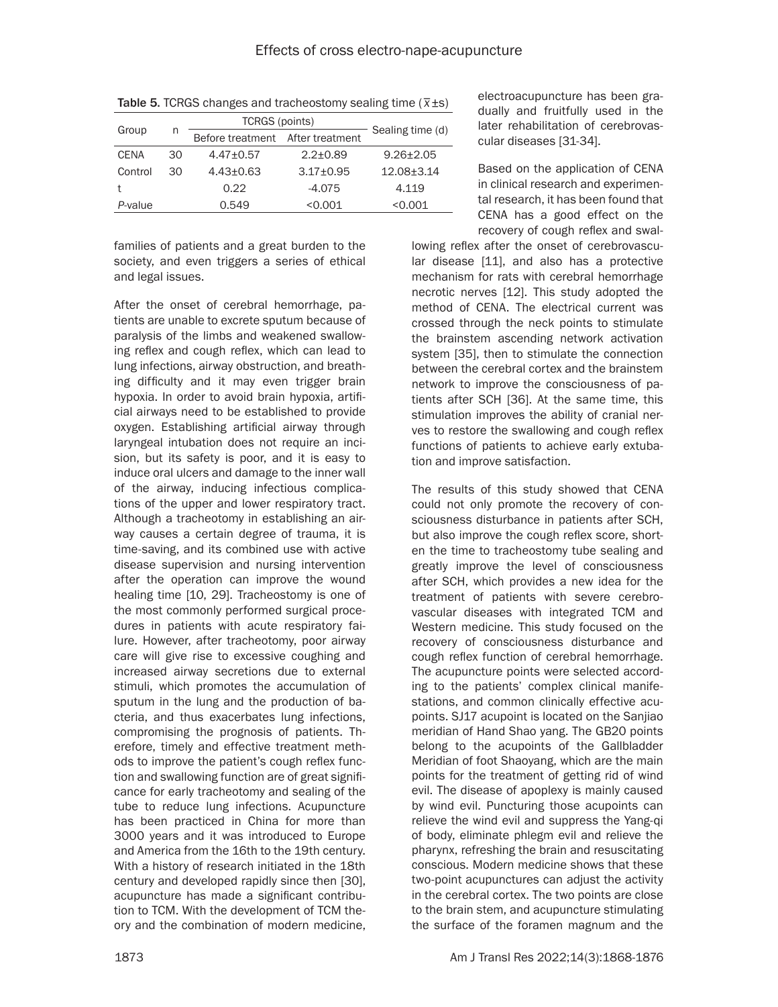|         |    | <b>TCRGS (points)</b>            |               |                  |
|---------|----|----------------------------------|---------------|------------------|
| Group   | n  | Before treatment After treatment |               | Sealing time (d) |
| CENA    | 30 | $4.47 \pm 0.57$                  | $2.2 + 0.89$  | $9.26 + 2.05$    |
| Control | 30 | $4.43 \pm 0.63$                  | $3.17 + 0.95$ | $12.08 + 3.14$   |
|         |    | 0.22                             | $-4.075$      | 4.119            |
| P-value |    | 0.549                            | < 0.001       | <0.001           |

Table 5. TCRGS changes and tracheostomy sealing time (*\_ x*±s)

families of patients and a great burden to the society, and even triggers a series of ethical and legal issues.

After the onset of cerebral hemorrhage, patients are unable to excrete sputum because of paralysis of the limbs and weakened swallowing reflex and cough reflex, which can lead to lung infections, airway obstruction, and breathing difficulty and it may even trigger brain hypoxia. In order to avoid brain hypoxia, artificial airways need to be established to provide oxygen. Establishing artificial airway through laryngeal intubation does not require an incision, but its safety is poor, and it is easy to induce oral ulcers and damage to the inner wall of the airway, inducing infectious complications of the upper and lower respiratory tract. Although a tracheotomy in establishing an airway causes a certain degree of trauma, it is time-saving, and its combined use with active disease supervision and nursing intervention after the operation can improve the wound healing time [10, 29]. Tracheostomy is one of the most commonly performed surgical procedures in patients with acute respiratory failure. However, after tracheotomy, poor airway care will give rise to excessive coughing and increased airway secretions due to external stimuli, which promotes the accumulation of sputum in the lung and the production of bacteria, and thus exacerbates lung infections, compromising the prognosis of patients. Therefore, timely and effective treatment methods to improve the patient's cough reflex function and swallowing function are of great significance for early tracheotomy and sealing of the tube to reduce lung infections. Acupuncture has been practiced in China for more than 3000 years and it was introduced to Europe and America from the 16th to the 19th century. With a history of research initiated in the 18th century and developed rapidly since then [30], acupuncture has made a significant contribution to TCM. With the development of TCM theory and the combination of modern medicine,

electroacupuncture has been gradually and fruitfully used in the later rehabilitation of cerebrovascular diseases [31-34].

Based on the application of CENA in clinical research and experimental research, it has been found that CENA has a good effect on the recovery of cough reflex and swal-

lowing reflex after the onset of cerebrovascular disease [11], and also has a protective mechanism for rats with cerebral hemorrhage necrotic nerves [12]. This study adopted the method of CENA. The electrical current was crossed through the neck points to stimulate the brainstem ascending network activation system [35], then to stimulate the connection between the cerebral cortex and the brainstem network to improve the consciousness of patients after SCH [36]. At the same time, this stimulation improves the ability of cranial nerves to restore the swallowing and cough reflex functions of patients to achieve early extubation and improve satisfaction.

The results of this study showed that CENA could not only promote the recovery of consciousness disturbance in patients after SCH, but also improve the cough reflex score, shorten the time to tracheostomy tube sealing and greatly improve the level of consciousness after SCH, which provides a new idea for the treatment of patients with severe cerebrovascular diseases with integrated TCM and Western medicine. This study focused on the recovery of consciousness disturbance and cough reflex function of cerebral hemorrhage. The acupuncture points were selected according to the patients' complex clinical manifestations, and common clinically effective acupoints. SJ17 acupoint is located on the Sanjiao meridian of Hand Shao yang. The GB20 points belong to the acupoints of the Gallbladder Meridian of foot Shaoyang, which are the main points for the treatment of getting rid of wind evil. The disease of apoplexy is mainly caused by wind evil. Puncturing those acupoints can relieve the wind evil and suppress the Yang-qi of body, eliminate phlegm evil and relieve the pharynx, refreshing the brain and resuscitating conscious. Modern medicine shows that these two-point acupunctures can adjust the activity in the cerebral cortex. The two points are close to the brain stem, and acupuncture stimulating the surface of the foramen magnum and the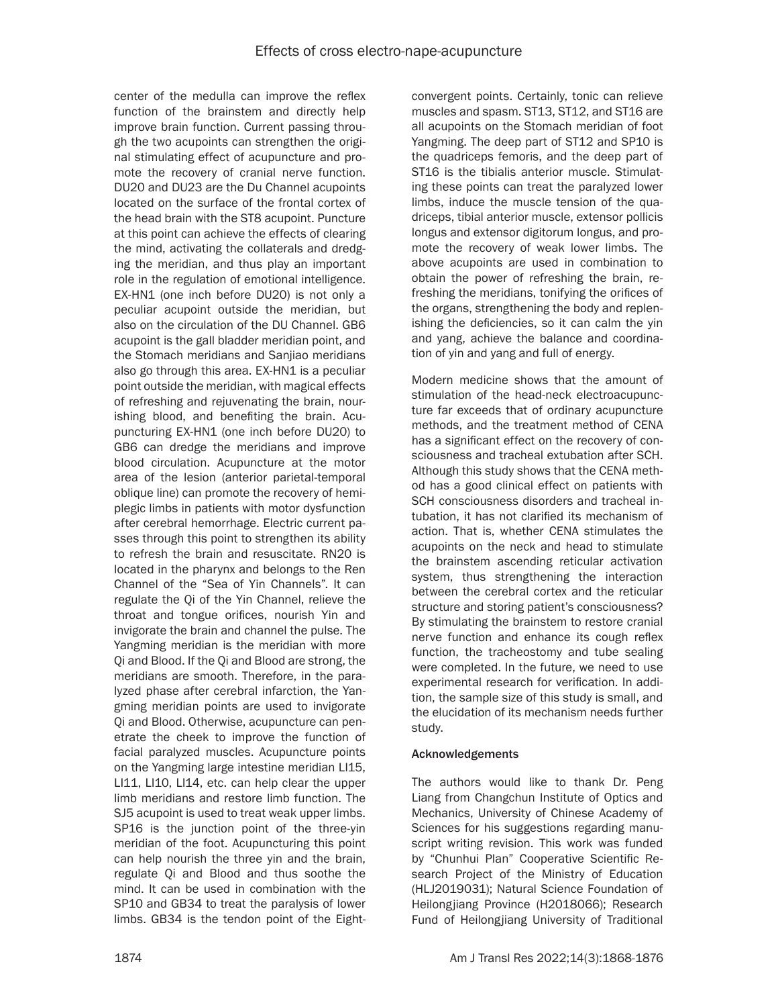center of the medulla can improve the reflex function of the brainstem and directly help improve brain function. Current passing through the two acupoints can strengthen the original stimulating effect of acupuncture and promote the recovery of cranial nerve function. DU20 and DU23 are the Du Channel acupoints located on the surface of the frontal cortex of the head brain with the ST8 acupoint. Puncture at this point can achieve the effects of clearing the mind, activating the collaterals and dredging the meridian, and thus play an important role in the regulation of emotional intelligence. EX-HN1 (one inch before DU20) is not only a peculiar acupoint outside the meridian, but also on the circulation of the DU Channel. GB6 acupoint is the gall bladder meridian point, and the Stomach meridians and Sanjiao meridians also go through this area. EX-HN1 is a peculiar point outside the meridian, with magical effects of refreshing and rejuvenating the brain, nourishing blood, and benefiting the brain. Acupuncturing EX-HN1 (one inch before DU20) to GB6 can dredge the meridians and improve blood circulation. Acupuncture at the motor area of the lesion (anterior parietal-temporal oblique line) can promote the recovery of hemiplegic limbs in patients with motor dysfunction after cerebral hemorrhage. Electric current passes through this point to strengthen its ability to refresh the brain and resuscitate. RN20 is located in the pharynx and belongs to the Ren Channel of the "Sea of Yin Channels". It can regulate the Qi of the Yin Channel, relieve the throat and tongue orifices, nourish Yin and invigorate the brain and channel the pulse. The Yangming meridian is the meridian with more Qi and Blood. If the Qi and Blood are strong, the meridians are smooth. Therefore, in the paralyzed phase after cerebral infarction, the Yangming meridian points are used to invigorate Qi and Blood. Otherwise, acupuncture can penetrate the cheek to improve the function of facial paralyzed muscles. Acupuncture points on the Yangming large intestine meridian LI15, LI11, LI10, LI14, etc. can help clear the upper limb meridians and restore limb function. The SJ5 acupoint is used to treat weak upper limbs. SP16 is the junction point of the three-yin meridian of the foot. Acupuncturing this point can help nourish the three yin and the brain, regulate Qi and Blood and thus soothe the mind. It can be used in combination with the SP10 and GB34 to treat the paralysis of lower limbs. GB34 is the tendon point of the Eightconvergent points. Certainly, tonic can relieve muscles and spasm. ST13, ST12, and ST16 are all acupoints on the Stomach meridian of foot Yangming. The deep part of ST12 and SP10 is the quadriceps femoris, and the deep part of ST16 is the tibialis anterior muscle. Stimulating these points can treat the paralyzed lower limbs, induce the muscle tension of the quadriceps, tibial anterior muscle, extensor pollicis longus and extensor digitorum longus, and promote the recovery of weak lower limbs. The above acupoints are used in combination to obtain the power of refreshing the brain, refreshing the meridians, tonifying the orifices of the organs, strengthening the body and replenishing the deficiencies, so it can calm the yin and yang, achieve the balance and coordination of yin and yang and full of energy.

Modern medicine shows that the amount of stimulation of the head-neck electroacupuncture far exceeds that of ordinary acupuncture methods, and the treatment method of CENA has a significant effect on the recovery of consciousness and tracheal extubation after SCH. Although this study shows that the CENA method has a good clinical effect on patients with SCH consciousness disorders and tracheal intubation, it has not clarified its mechanism of action. That is, whether CENA stimulates the acupoints on the neck and head to stimulate the brainstem ascending reticular activation system, thus strengthening the interaction between the cerebral cortex and the reticular structure and storing patient's consciousness? By stimulating the brainstem to restore cranial nerve function and enhance its cough reflex function, the tracheostomy and tube sealing were completed. In the future, we need to use experimental research for verification. In addition, the sample size of this study is small, and the elucidation of its mechanism needs further study.

## Acknowledgements

The authors would like to thank Dr. Peng Liang from Changchun Institute of Optics and Mechanics, University of Chinese Academy of Sciences for his suggestions regarding manuscript writing revision. This work was funded by "Chunhui Plan" Cooperative Scientific Research Project of the Ministry of Education (HLJ2019031); Natural Science Foundation of Heilongjiang Province (H2018066); Research Fund of Heilongjiang University of Traditional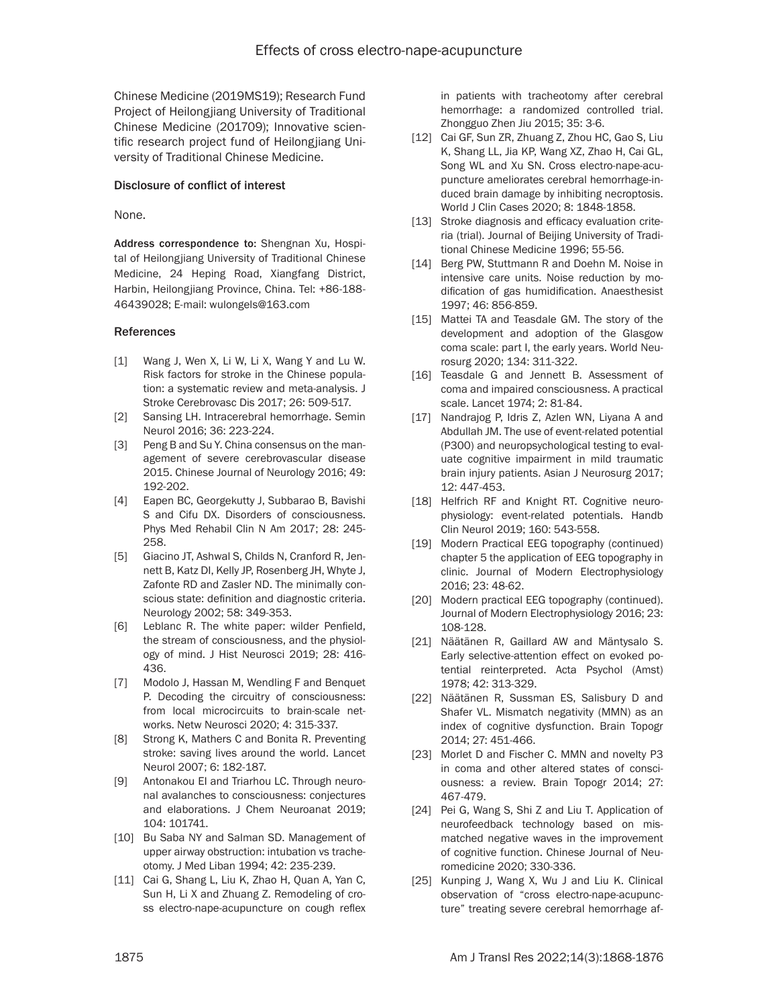Chinese Medicine (2019MS19); Research Fund Project of Heilongjiang University of Traditional Chinese Medicine (201709); Innovative scientific research project fund of Heilongjiang University of Traditional Chinese Medicine.

#### Disclosure of conflict of interest

#### None.

Address correspondence to: Shengnan Xu, Hospital of Heilongjiang University of Traditional Chinese Medicine, 24 Heping Road, Xiangfang District, Harbin, Heilongjiang Province, China. Tel: +86-188- 46439028; E-mail: [wulongels@163.com](mailto:wulongels@163.com)

#### **References**

- [1] Wang J, Wen X, Li W, Li X, Wang Y and Lu W. Risk factors for stroke in the Chinese population: a systematic review and meta-analysis. J Stroke Cerebrovasc Dis 2017; 26: 509-517.
- [2] Sansing LH. Intracerebral hemorrhage. Semin Neurol 2016; 36: 223-224.
- [3] Peng B and Su Y. China consensus on the management of severe cerebrovascular disease 2015. Chinese Journal of Neurology 2016; 49: 192-202.
- [4] Eapen BC, Georgekutty J, Subbarao B, Bavishi S and Cifu DX. Disorders of consciousness. Phys Med Rehabil Clin N Am 2017; 28: 245- 258.
- [5] Giacino JT, Ashwal S, Childs N, Cranford R, Jennett B, Katz DI, Kelly JP, Rosenberg JH, Whyte J, Zafonte RD and Zasler ND. The minimally conscious state: definition and diagnostic criteria. Neurology 2002; 58: 349-353.
- [6] Leblanc R. The white paper: wilder Penfield, the stream of consciousness, and the physiology of mind. J Hist Neurosci 2019; 28: 416- 436.
- [7] Modolo J, Hassan M, Wendling F and Benquet P. Decoding the circuitry of consciousness: from local microcircuits to brain-scale networks. Netw Neurosci 2020; 4: 315-337.
- [8] Strong K, Mathers C and Bonita R. Preventing stroke: saving lives around the world. Lancet Neurol 2007; 6: 182-187.
- [9] Antonakou EI and Triarhou LC. Through neuronal avalanches to consciousness: conjectures and elaborations. J Chem Neuroanat 2019; 104: 101741.
- [10] Bu Saba NY and Salman SD. Management of upper airway obstruction: intubation vs tracheotomy. J Med Liban 1994; 42: 235-239.
- [11] Cai G, Shang L, Liu K, Zhao H, Quan A, Yan C, Sun H, Li X and Zhuang Z. Remodeling of cross electro-nape-acupuncture on cough reflex

in patients with tracheotomy after cerebral hemorrhage: a randomized controlled trial. Zhongguo Zhen Jiu 2015; 35: 3-6.

- [12] Cai GF, Sun ZR, Zhuang Z, Zhou HC, Gao S, Liu K, Shang LL, Jia KP, Wang XZ, Zhao H, Cai GL, Song WL and Xu SN. Cross electro-nape-acupuncture ameliorates cerebral hemorrhage-induced brain damage by inhibiting necroptosis. World J Clin Cases 2020; 8: 1848-1858.
- [13] Stroke diagnosis and efficacy evaluation criteria (trial). Journal of Beijing University of Traditional Chinese Medicine 1996; 55-56.
- [14] Berg PW, Stuttmann R and Doehn M. Noise in intensive care units. Noise reduction by modification of gas humidification. Anaesthesist 1997; 46: 856-859.
- [15] Mattei TA and Teasdale GM. The story of the development and adoption of the Glasgow coma scale: part I, the early years. World Neurosurg 2020; 134: 311-322.
- [16] Teasdale G and Jennett B. Assessment of coma and impaired consciousness. A practical scale. Lancet 1974; 2: 81-84.
- [17] Nandrajog P, Idris Z, Azlen WN, Liyana A and Abdullah JM. The use of event-related potential (P300) and neuropsychological testing to evaluate cognitive impairment in mild traumatic brain injury patients. Asian J Neurosurg 2017; 12: 447-453.
- [18] Helfrich RF and Knight RT. Cognitive neurophysiology: event-related potentials. Handb Clin Neurol 2019; 160: 543-558.
- [19] Modern Practical EEG topography (continued) chapter 5 the application of EEG topography in clinic. Journal of Modern Electrophysiology 2016; 23: 48-62.
- [20] Modern practical EEG topography (continued). Journal of Modern Electrophysiology 2016; 23: 108-128.
- [21] Näätänen R, Gaillard AW and Mäntysalo S. Early selective-attention effect on evoked potential reinterpreted. Acta Psychol (Amst) 1978; 42: 313-329.
- [22] Näätänen R, Sussman ES, Salisbury D and Shafer VL. Mismatch negativity (MMN) as an index of cognitive dysfunction. Brain Topogr 2014; 27: 451-466.
- [23] Morlet D and Fischer C. MMN and novelty P3 in coma and other altered states of consciousness: a review. Brain Topogr 2014; 27: 467-479.
- [24] Pei G, Wang S, Shi Z and Liu T. Application of neurofeedback technology based on mismatched negative waves in the improvement of cognitive function. Chinese Journal of Neuromedicine 2020; 330-336.
- [25] Kunping J, Wang X, Wu J and Liu K. Clinical observation of "cross electro-nape-acupuncture" treating severe cerebral hemorrhage af-